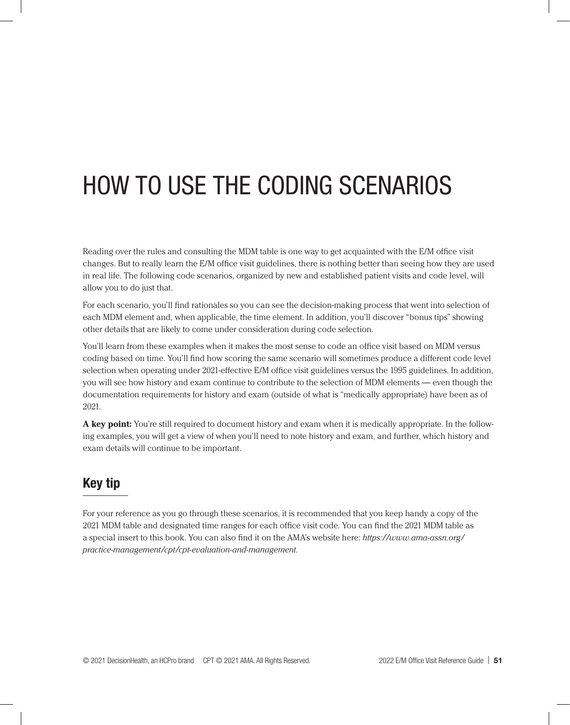# HOW TO USE THE CODING SCENARIOS

Reading over the rules and consulting the MDM table is one way to get acquainted with the E/M office visit changes. But to really learn the E/M office visit guidelines, there is nothing better than seeing how they are used in real life. The following code scenarios, organized by new and established patient visits and code level, will allow you to do just that.

For each scenario, you'll find rationales so you can see the decision-making process that went into selection of each MDM element and, when applicable, the time element. In addition, you'll discover "bonus tips" showing other details that are likely to come under consideration during code selection.

You'll learn from these examples when it makes the most sense to code an office visit based on MDM versus coding based on time. You'll find how scoring the same scenario will sometimes produce a different code level selection when operating under 2021-effective E/M office visit guidelines versus the 1995 guidelines. In addition, you will see how history and exam continue to contribute to the selection of MDM elements — even though the documentation requirements for history and exam (outside of what is "medically appropriate) have been as of 2021.

**A key point:** You're still required to document history and exam when it is medically appropriate. In the following examples, you will get a view of when you'll need to note history and exam, and further, which history and exam details will continue to be important.

## Key tip

For your reference as you go through these scenarios, it is recommended that you keep handy a copy of the 2021 MDM table and designated time ranges for each office visit code. You can find the 2021 MDM table as a special insert to this book. You can also find it on the AMA's website here: *https://www.ama-assn.org/ practice-management/cpt/cpt-evaluation-and-management.*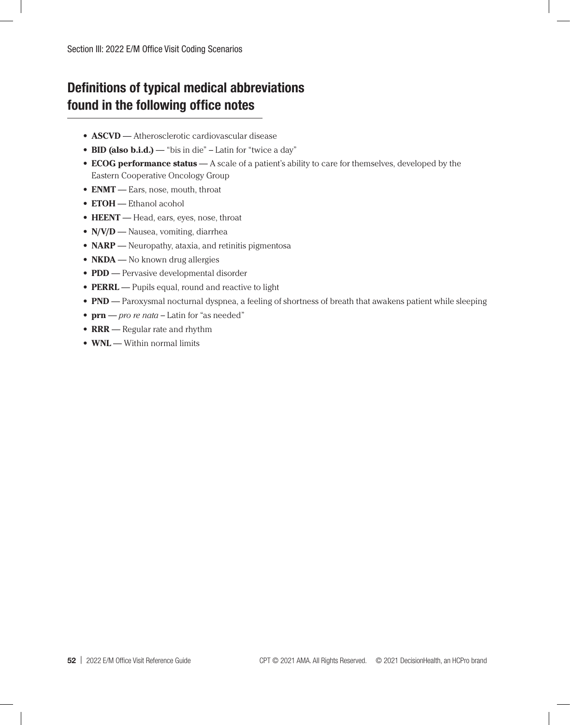# Definitions of typical medical abbreviations found in the following office notes

- **• ASCVD** Atherosclerotic cardiovascular disease
- **• BID (also b.i.d.)** "bis in die" Latin for "twice a day"
- **• ECOG performance status** A scale of a patient's ability to care for themselves, developed by the Eastern Cooperative Oncology Group
- **• ENMT** Ears, nose, mouth, throat
- **• ETOH** Ethanol acohol
- **• HEENT** Head, ears, eyes, nose, throat
- **• N/V/D** Nausea, vomiting, diarrhea
- **• NARP** Neuropathy, ataxia, and retinitis pigmentosa
- **• NKDA** No known drug allergies
- **• PDD** Pervasive developmental disorder
- **• PERRL** Pupils equal, round and reactive to light
- **• PND** Paroxysmal nocturnal dyspnea, a feeling of shortness of breath that awakens patient while sleeping
- **• prn** *pro re nata* Latin for "as needed"
- **• RRR** Regular rate and rhythm
- **• WNL** Within normal limits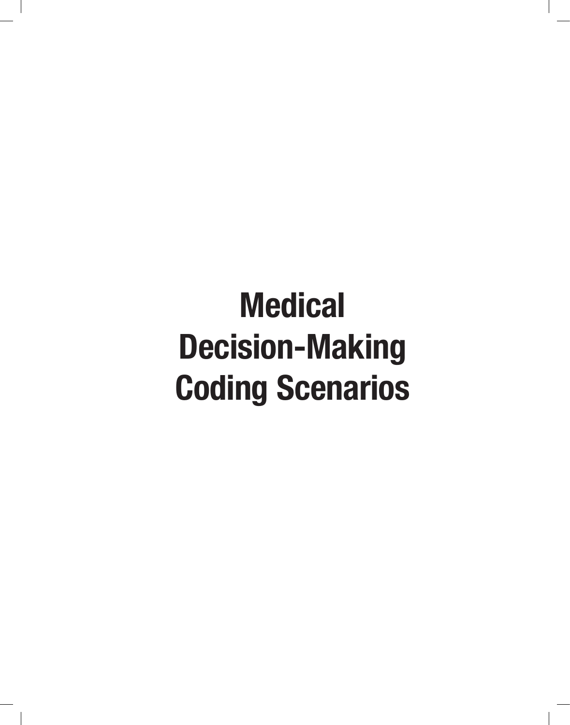# Medical Decision-Making Coding Scenarios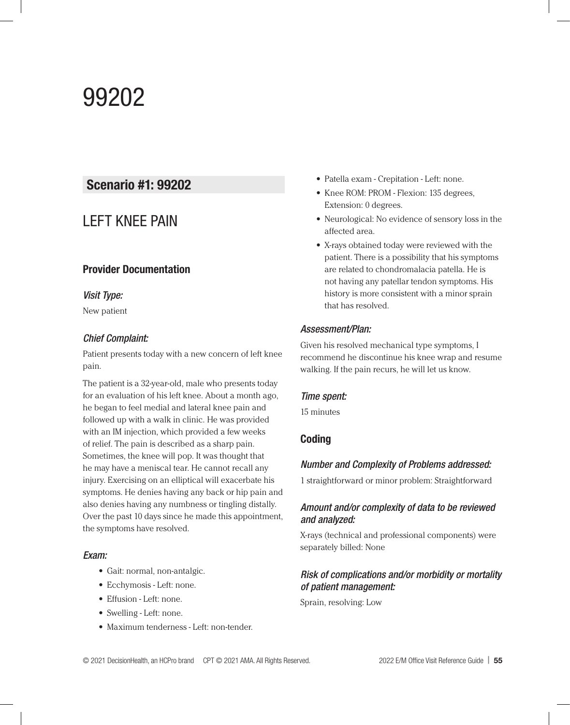# 99202

### Scenario #1: 99202

## LEFT KNEE PAIN

#### Provider Documentation

#### *Visit Type:*

New patient

#### *Chief Complaint:*

Patient presents today with a new concern of left knee pain.

The patient is a 32-year-old, male who presents today for an evaluation of his left knee. About a month ago, he began to feel medial and lateral knee pain and followed up with a walk in clinic. He was provided with an IM injection, which provided a few weeks of relief. The pain is described as a sharp pain. Sometimes, the knee will pop. It was thought that he may have a meniscal tear. He cannot recall any injury. Exercising on an elliptical will exacerbate his symptoms. He denies having any back or hip pain and also denies having any numbness or tingling distally. Over the past 10 days since he made this appointment, the symptoms have resolved.

#### *Exam:*

- **•** Gait: normal, non-antalgic.
- **•** Ecchymosis Left: none.
- **•** Effusion Left: none.
- **•** Swelling Left: none.
- **•** Maximum tenderness Left: non-tender.
- **•** Patella exam Crepitation Left: none.
- **•** Knee ROM: PROM Flexion: 135 degrees, Extension: 0 degrees.
- **•** Neurological: No evidence of sensory loss in the affected area.
- **•** X-rays obtained today were reviewed with the patient. There is a possibility that his symptoms are related to chondromalacia patella. He is not having any patellar tendon symptoms. His history is more consistent with a minor sprain that has resolved.

#### *Assessment/Plan:*

Given his resolved mechanical type symptoms, I recommend he discontinue his knee wrap and resume walking. If the pain recurs, he will let us know.

#### *Time spent:*

15 minutes

#### Coding

#### *Number and Complexity of Problems addressed:*

1 straightforward or minor problem: Straightforward

#### *Amount and/or complexity of data to be reviewed and analyzed:*

X-rays (technical and professional components) were separately billed: None

#### *Risk of complications and/or morbidity or mortality of patient management:*

Sprain, resolving: Low